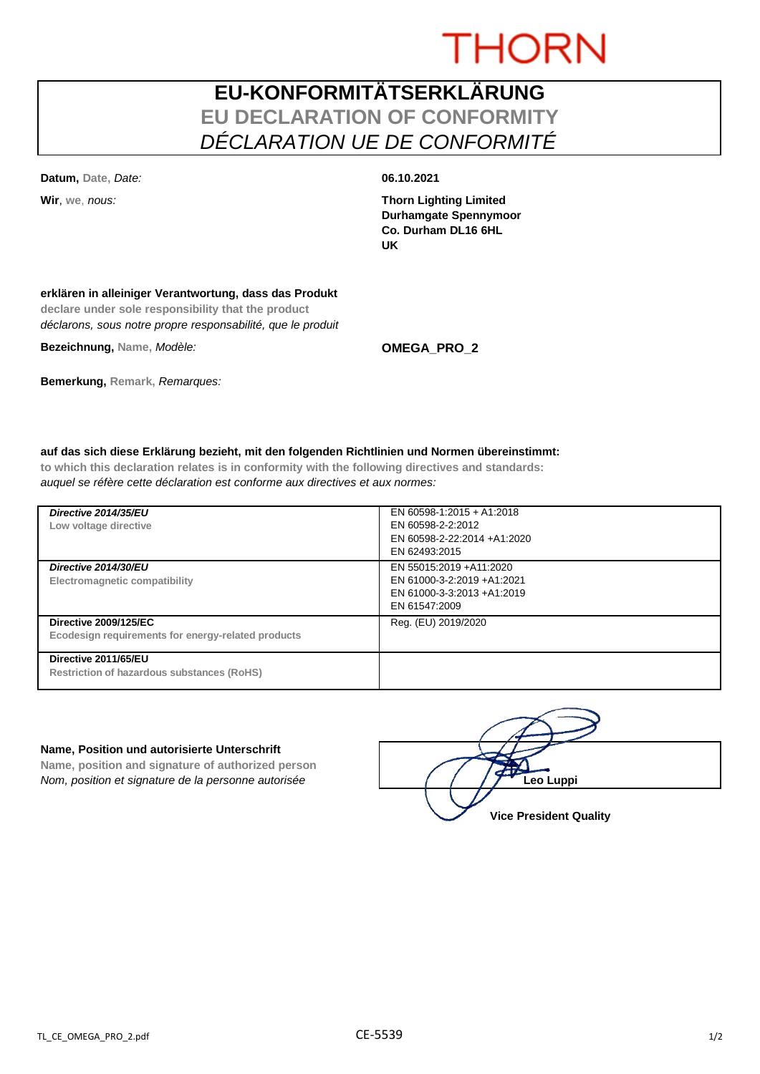# **THORN**

## **EU-KONFORMITÄTSERKLÄRUNG EU DECLARATION OF CONFORMITY** *DÉCLARATION UE DE CONFORMITÉ*

**Datum, Date,** *Date:* **06.10.2021**

**Wir**, **we**, *nous:* **Thorn Lighting Limited Durhamgate Spennymoor Co. Durham DL16 6HL UK**

### **erklären in alleiniger Verantwortung, dass das Produkt**

**declare under sole responsibility that the product** *déclarons, sous notre propre responsabilité, que le produit*

**Bezeichnung, Name,** *Modèle:* **OMEGA\_PRO\_2**

**Bemerkung, Remark,** *Remarques:*

### **auf das sich diese Erklärung bezieht, mit den folgenden Richtlinien und Normen übereinstimmt:**

**to which this declaration relates is in conformity with the following directives and standards:** *auquel se réfère cette déclaration est conforme aux directives et aux normes:*

| Directive 2014/35/EU<br>Low voltage directive                                      | EN 60598-1:2015 + A1:2018<br>EN 60598-2-2:2012<br>EN 60598-2-22:2014 +A1:2020<br>EN 62493:2015       |
|------------------------------------------------------------------------------------|------------------------------------------------------------------------------------------------------|
| Directive 2014/30/EU<br>Electromagnetic compatibility                              | EN 55015:2019 +A11:2020<br>EN 61000-3-2:2019 +A1:2021<br>EN 61000-3-3:2013 +A1:2019<br>EN 61547:2009 |
| <b>Directive 2009/125/EC</b><br>Ecodesign requirements for energy-related products | Reg. (EU) 2019/2020                                                                                  |
| Directive 2011/65/EU<br><b>Restriction of hazardous substances (RoHS)</b>          |                                                                                                      |

#### **Name, Position und autorisierte Unterschrift**

**Name, position and signature of authorized person** *Nom, position et signature de la personne autorisée*  $\left( \begin{array}{cc} \end{array} \right)$   $\left( \begin{array}{cc} \end{array} \right)$ **Leo Luppi** 

**Vice President Quality**